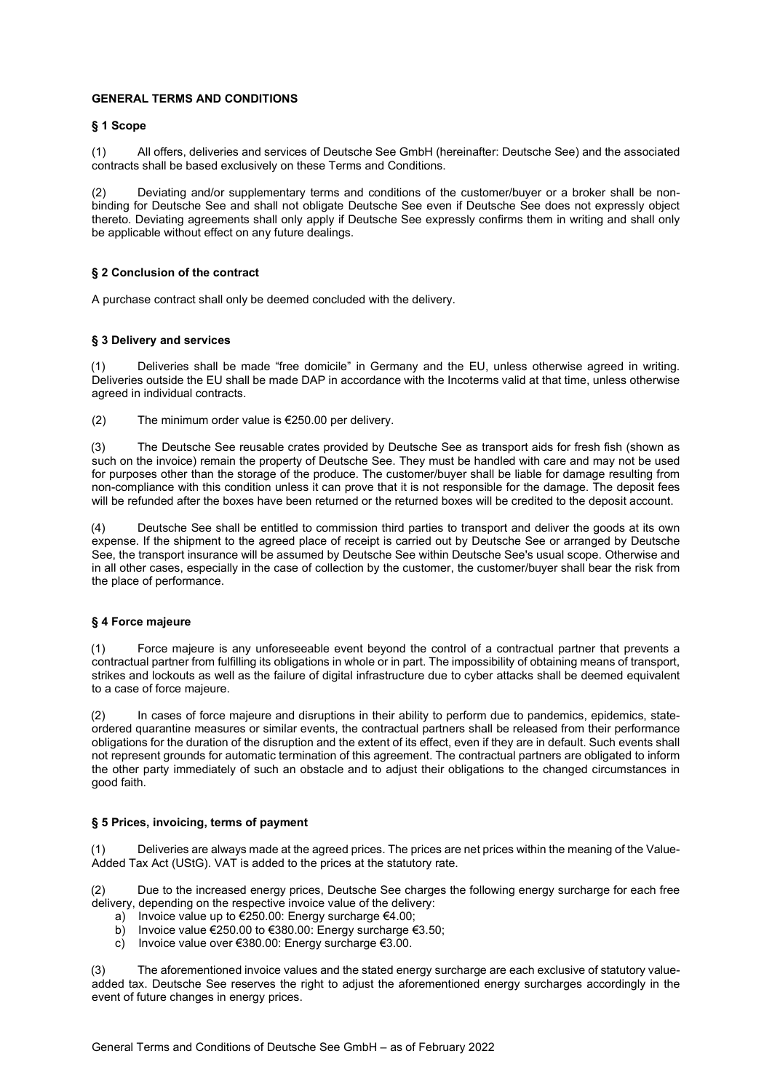# GENERAL TERMS AND CONDITIONS

### § 1 Scope

(1) All offers, deliveries and services of Deutsche See GmbH (hereinafter: Deutsche See) and the associated contracts shall be based exclusively on these Terms and Conditions.

(2) Deviating and/or supplementary terms and conditions of the customer/buyer or a broker shall be nonbinding for Deutsche See and shall not obligate Deutsche See even if Deutsche See does not expressly object thereto. Deviating agreements shall only apply if Deutsche See expressly confirms them in writing and shall only be applicable without effect on any future dealings.

## § 2 Conclusion of the contract

A purchase contract shall only be deemed concluded with the delivery.

### § 3 Delivery and services

Deliveries shall be made "free domicile" in Germany and the EU, unless otherwise agreed in writing. Deliveries outside the EU shall be made DAP in accordance with the Incoterms valid at that time, unless otherwise agreed in individual contracts.

(2) The minimum order value is  $\epsilon$ 250.00 per delivery.

(3) The Deutsche See reusable crates provided by Deutsche See as transport aids for fresh fish (shown as such on the invoice) remain the property of Deutsche See. They must be handled with care and may not be used for purposes other than the storage of the produce. The customer/buyer shall be liable for damage resulting from non-compliance with this condition unless it can prove that it is not responsible for the damage. The deposit fees will be refunded after the boxes have been returned or the returned boxes will be credited to the deposit account.

(4) Deutsche See shall be entitled to commission third parties to transport and deliver the goods at its own expense. If the shipment to the agreed place of receipt is carried out by Deutsche See or arranged by Deutsche See, the transport insurance will be assumed by Deutsche See within Deutsche See's usual scope. Otherwise and in all other cases, especially in the case of collection by the customer, the customer/buyer shall bear the risk from the place of performance.

### § 4 Force majeure

(1) Force majeure is any unforeseeable event beyond the control of a contractual partner that prevents a contractual partner from fulfilling its obligations in whole or in part. The impossibility of obtaining means of transport, strikes and lockouts as well as the failure of digital infrastructure due to cyber attacks shall be deemed equivalent to a case of force majeure.

(2) In cases of force majeure and disruptions in their ability to perform due to pandemics, epidemics, stateordered quarantine measures or similar events, the contractual partners shall be released from their performance obligations for the duration of the disruption and the extent of its effect, even if they are in default. Such events shall not represent grounds for automatic termination of this agreement. The contractual partners are obligated to inform the other party immediately of such an obstacle and to adjust their obligations to the changed circumstances in good faith.

### § 5 Prices, invoicing, terms of payment

Deliveries are always made at the agreed prices. The prices are net prices within the meaning of the Value-Added Tax Act (UStG). VAT is added to the prices at the statutory rate.

(2) Due to the increased energy prices, Deutsche See charges the following energy surcharge for each free delivery, depending on the respective invoice value of the delivery:

- a) Invoice value up to €250.00: Energy surcharge €4.00;
- b) Invoice value €250.00 to €380.00: Energy surcharge €3.50;
- c) Invoice value over €380.00: Energy surcharge  $€3.00$ .

(3) The aforementioned invoice values and the stated energy surcharge are each exclusive of statutory valueadded tax. Deutsche See reserves the right to adjust the aforementioned energy surcharges accordingly in the event of future changes in energy prices.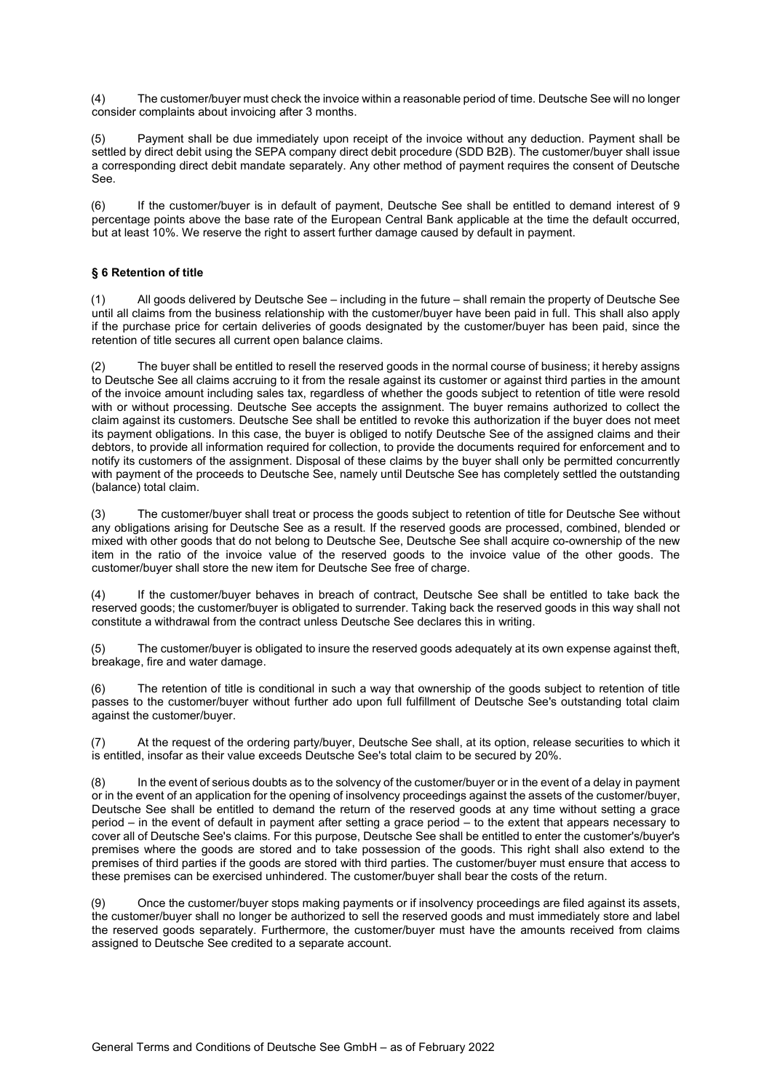(4) The customer/buyer must check the invoice within a reasonable period of time. Deutsche See will no longer consider complaints about invoicing after 3 months.

(5) Payment shall be due immediately upon receipt of the invoice without any deduction. Payment shall be settled by direct debit using the SEPA company direct debit procedure (SDD B2B). The customer/buyer shall issue a corresponding direct debit mandate separately. Any other method of payment requires the consent of Deutsche See.

(6) If the customer/buyer is in default of payment, Deutsche See shall be entitled to demand interest of 9 percentage points above the base rate of the European Central Bank applicable at the time the default occurred, but at least 10%. We reserve the right to assert further damage caused by default in payment.

# § 6 Retention of title

(1) All goods delivered by Deutsche See – including in the future – shall remain the property of Deutsche See until all claims from the business relationship with the customer/buyer have been paid in full. This shall also apply if the purchase price for certain deliveries of goods designated by the customer/buyer has been paid, since the retention of title secures all current open balance claims.

(2) The buyer shall be entitled to resell the reserved goods in the normal course of business; it hereby assigns to Deutsche See all claims accruing to it from the resale against its customer or against third parties in the amount of the invoice amount including sales tax, regardless of whether the goods subject to retention of title were resold with or without processing. Deutsche See accepts the assignment. The buyer remains authorized to collect the claim against its customers. Deutsche See shall be entitled to revoke this authorization if the buyer does not meet its payment obligations. In this case, the buyer is obliged to notify Deutsche See of the assigned claims and their debtors, to provide all information required for collection, to provide the documents required for enforcement and to notify its customers of the assignment. Disposal of these claims by the buyer shall only be permitted concurrently with payment of the proceeds to Deutsche See, namely until Deutsche See has completely settled the outstanding (balance) total claim.

The customer/buyer shall treat or process the goods subject to retention of title for Deutsche See without any obligations arising for Deutsche See as a result. If the reserved goods are processed, combined, blended or mixed with other goods that do not belong to Deutsche See, Deutsche See shall acquire co-ownership of the new item in the ratio of the invoice value of the reserved goods to the invoice value of the other goods. The customer/buyer shall store the new item for Deutsche See free of charge.

(4) If the customer/buyer behaves in breach of contract, Deutsche See shall be entitled to take back the reserved goods; the customer/buyer is obligated to surrender. Taking back the reserved goods in this way shall not constitute a withdrawal from the contract unless Deutsche See declares this in writing.

(5) The customer/buyer is obligated to insure the reserved goods adequately at its own expense against theft, breakage, fire and water damage.

The retention of title is conditional in such a way that ownership of the goods subject to retention of title passes to the customer/buyer without further ado upon full fulfillment of Deutsche See's outstanding total claim against the customer/buyer.

(7) At the request of the ordering party/buyer, Deutsche See shall, at its option, release securities to which it is entitled, insofar as their value exceeds Deutsche See's total claim to be secured by 20%.

(8) In the event of serious doubts as to the solvency of the customer/buyer or in the event of a delay in payment or in the event of an application for the opening of insolvency proceedings against the assets of the customer/buyer, Deutsche See shall be entitled to demand the return of the reserved goods at any time without setting a grace period – in the event of default in payment after setting a grace period – to the extent that appears necessary to cover all of Deutsche See's claims. For this purpose, Deutsche See shall be entitled to enter the customer's/buyer's premises where the goods are stored and to take possession of the goods. This right shall also extend to the premises of third parties if the goods are stored with third parties. The customer/buyer must ensure that access to these premises can be exercised unhindered. The customer/buyer shall bear the costs of the return.

(9) Once the customer/buyer stops making payments or if insolvency proceedings are filed against its assets, the customer/buyer shall no longer be authorized to sell the reserved goods and must immediately store and label the reserved goods separately. Furthermore, the customer/buyer must have the amounts received from claims assigned to Deutsche See credited to a separate account.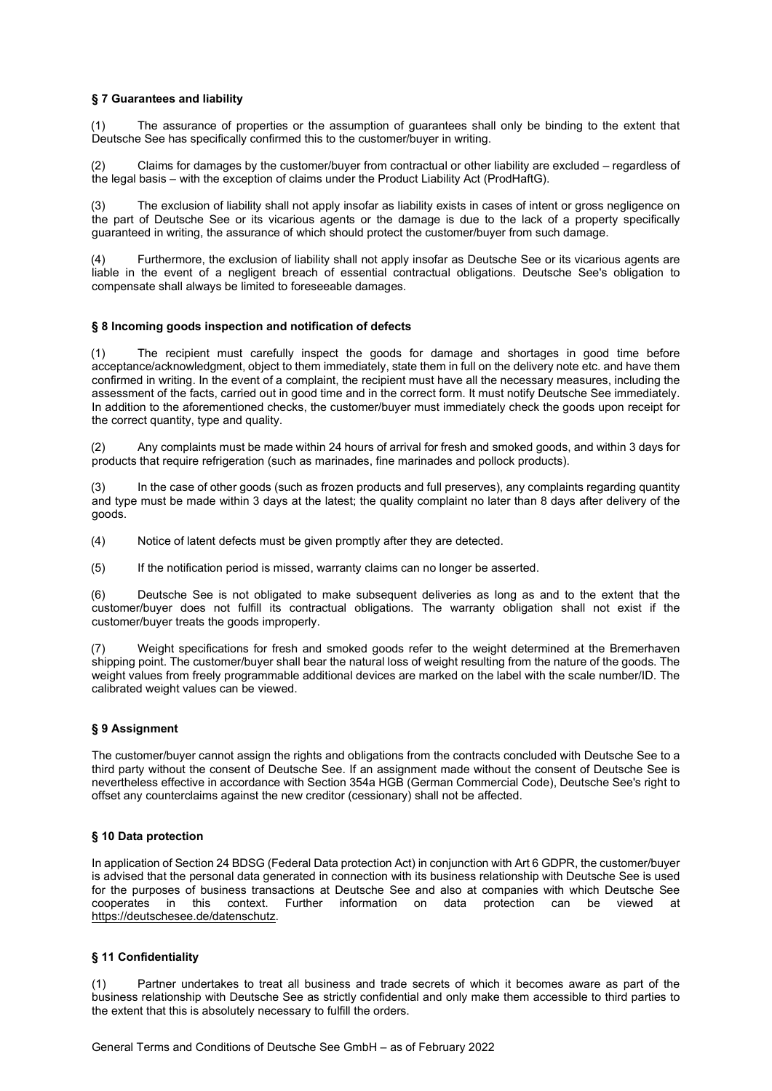## § 7 Guarantees and liability

(1) The assurance of properties or the assumption of guarantees shall only be binding to the extent that Deutsche See has specifically confirmed this to the customer/buyer in writing.

(2) Claims for damages by the customer/buyer from contractual or other liability are excluded – regardless of the legal basis – with the exception of claims under the Product Liability Act (ProdHaftG).

(3) The exclusion of liability shall not apply insofar as liability exists in cases of intent or gross negligence on the part of Deutsche See or its vicarious agents or the damage is due to the lack of a property specifically guaranteed in writing, the assurance of which should protect the customer/buyer from such damage.

Furthermore, the exclusion of liability shall not apply insofar as Deutsche See or its vicarious agents are liable in the event of a negligent breach of essential contractual obligations. Deutsche See's obligation to compensate shall always be limited to foreseeable damages.

## § 8 Incoming goods inspection and notification of defects

(1) The recipient must carefully inspect the goods for damage and shortages in good time before acceptance/acknowledgment, object to them immediately, state them in full on the delivery note etc. and have them confirmed in writing. In the event of a complaint, the recipient must have all the necessary measures, including the assessment of the facts, carried out in good time and in the correct form. It must notify Deutsche See immediately. In addition to the aforementioned checks, the customer/buyer must immediately check the goods upon receipt for the correct quantity, type and quality.

(2) Any complaints must be made within 24 hours of arrival for fresh and smoked goods, and within 3 days for products that require refrigeration (such as marinades, fine marinades and pollock products).

(3) In the case of other goods (such as frozen products and full preserves), any complaints regarding quantity and type must be made within 3 days at the latest; the quality complaint no later than 8 days after delivery of the goods.

(4) Notice of latent defects must be given promptly after they are detected.

(5) If the notification period is missed, warranty claims can no longer be asserted.

(6) Deutsche See is not obligated to make subsequent deliveries as long as and to the extent that the customer/buyer does not fulfill its contractual obligations. The warranty obligation shall not exist if the customer/buyer treats the goods improperly.

(7) Weight specifications for fresh and smoked goods refer to the weight determined at the Bremerhaven shipping point. The customer/buyer shall bear the natural loss of weight resulting from the nature of the goods. The weight values from freely programmable additional devices are marked on the label with the scale number/ID. The calibrated weight values can be viewed.

### § 9 Assignment

The customer/buyer cannot assign the rights and obligations from the contracts concluded with Deutsche See to a third party without the consent of Deutsche See. If an assignment made without the consent of Deutsche See is nevertheless effective in accordance with Section 354a HGB (German Commercial Code), Deutsche See's right to offset any counterclaims against the new creditor (cessionary) shall not be affected.

### § 10 Data protection

In application of Section 24 BDSG (Federal Data protection Act) in conjunction with Art 6 GDPR, the customer/buyer is advised that the personal data generated in connection with its business relationship with Deutsche See is used for the purposes of business transactions at Deutsche See and also at companies with which Deutsche See cooperates in this context. Further information on data protection can be viewed at https://deutschesee.de/datenschutz.

### § 11 Confidentiality

Partner undertakes to treat all business and trade secrets of which it becomes aware as part of the business relationship with Deutsche See as strictly confidential and only make them accessible to third parties to the extent that this is absolutely necessary to fulfill the orders.